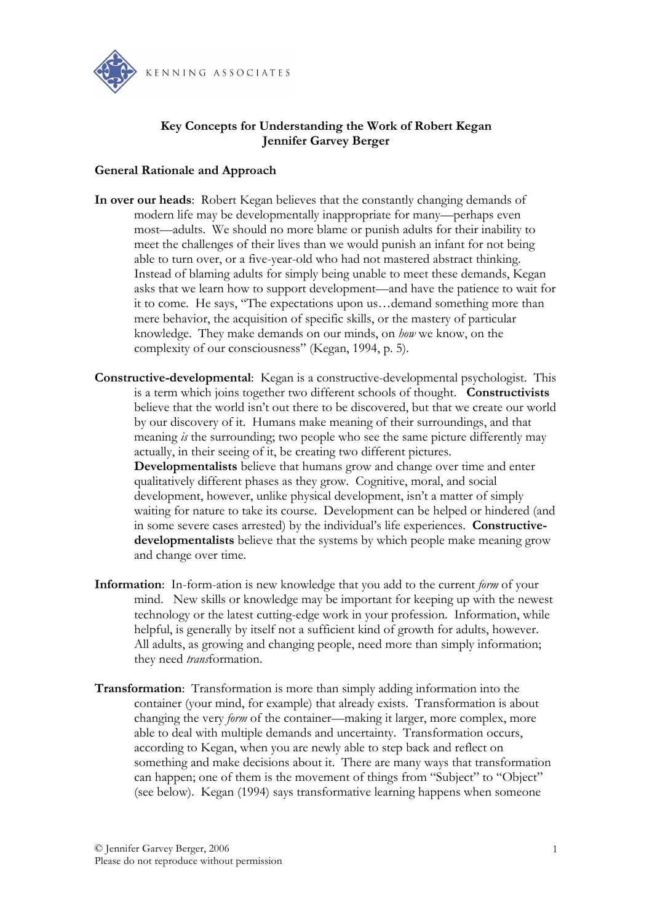

## **Key Concepts for Understanding the Work of Robert Kegan Jennifer Garvey Berger**

## **General Rationale and Approach**

- **In over our heads**: Robert Kegan believes that the constantly changing demands of modern life may be developmentally inappropriate for many—perhaps even most—adults. We should no more blame or punish adults for their inability to meet the challenges of their lives than we would punish an infant for not being able to turn over, or a five-year-old who had not mastered abstract thinking. Instead of blaming adults for simply being unable to meet these demands, Kegan asks that we learn how to support development—and have the patience to wait for it to come. He says, "The expectations upon us…demand something more than mere behavior, the acquisition of specific skills, or the mastery of particular knowledge. They make demands on our minds, on *how* we know, on the complexity of our consciousness" (Kegan, 1994, p. 5).
- **Constructive-developmental**: Kegan is a constructive-developmental psychologist. This is a term which joins together two different schools of thought. **Constructivists** believe that the world isn't out there to be discovered, but that we create our world by our discovery of it. Humans make meaning of their surroundings, and that meaning *is* the surrounding; two people who see the same picture differently may actually, in their seeing of it, be creating two different pictures. **Developmentalists** believe that humans grow and change over time and enter qualitatively different phases as they grow. Cognitive, moral, and social development, however, unlike physical development, isn't a matter of simply waiting for nature to take its course. Development can be helped or hindered (and in some severe cases arrested) by the individual's life experiences. **Constructivedevelopmentalists** believe that the systems by which people make meaning grow and change over time.
- **Information**: In-form-ation is new knowledge that you add to the current *form* of your mind. New skills or knowledge may be important for keeping up with the newest technology or the latest cutting-edge work in your profession. Information, while helpful, is generally by itself not a sufficient kind of growth for adults, however. All adults, as growing and changing people, need more than simply information; they need *trans*formation.
- **Transformation**: Transformation is more than simply adding information into the container (your mind, for example) that already exists. Transformation is about changing the very *form* of the container—making it larger, more complex, more able to deal with multiple demands and uncertainty. Transformation occurs, according to Kegan, when you are newly able to step back and reflect on something and make decisions about it. There are many ways that transformation can happen; one of them is the movement of things from "Subject" to "Object" (see below). Kegan (1994) says transformative learning happens when someone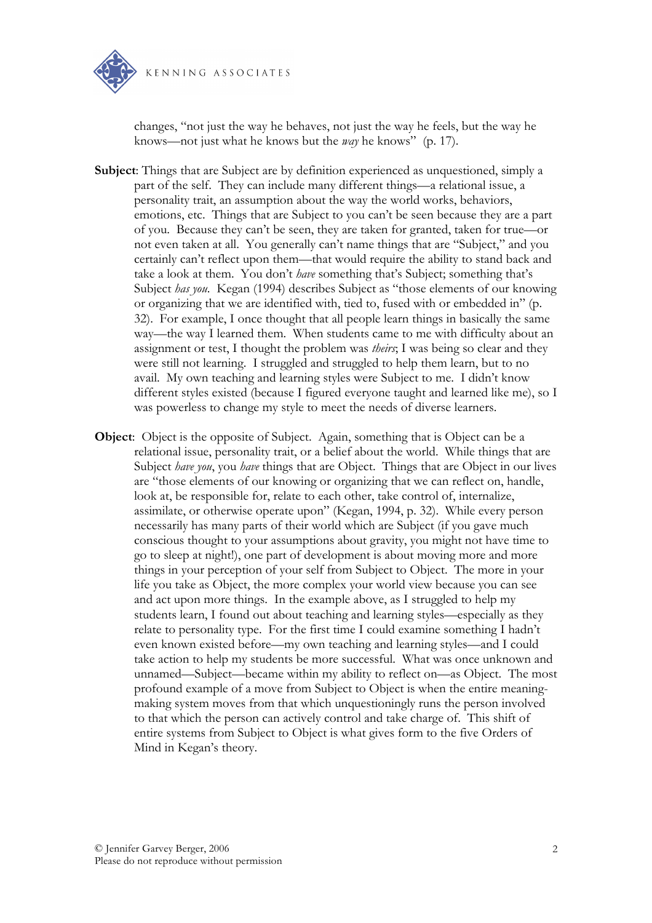

changes, "not just the way he behaves, not just the way he feels, but the way he knows—not just what he knows but the *way* he knows" (p. 17).

- **Subject**: Things that are Subject are by definition experienced as unquestioned, simply a part of the self. They can include many different things—a relational issue, a personality trait, an assumption about the way the world works, behaviors, emotions, etc. Things that are Subject to you can't be seen because they are a part of you. Because they can't be seen, they are taken for granted, taken for true—or not even taken at all. You generally can't name things that are "Subject," and you certainly can't reflect upon them—that would require the ability to stand back and take a look at them. You don't *have* something that's Subject; something that's Subject *has you*. Kegan (1994) describes Subject as "those elements of our knowing or organizing that we are identified with, tied to, fused with or embedded in" (p. 32). For example, I once thought that all people learn things in basically the same way—the way I learned them. When students came to me with difficulty about an assignment or test, I thought the problem was *theirs*; I was being so clear and they were still not learning. I struggled and struggled to help them learn, but to no avail. My own teaching and learning styles were Subject to me. I didn't know different styles existed (because I figured everyone taught and learned like me), so I was powerless to change my style to meet the needs of diverse learners.
- **Object**: Object is the opposite of Subject. Again, something that is Object can be a relational issue, personality trait, or a belief about the world. While things that are Subject *have you*, you *have* things that are Object. Things that are Object in our lives are "those elements of our knowing or organizing that we can reflect on, handle, look at, be responsible for, relate to each other, take control of, internalize, assimilate, or otherwise operate upon" (Kegan, 1994, p. 32). While every person necessarily has many parts of their world which are Subject (if you gave much conscious thought to your assumptions about gravity, you might not have time to go to sleep at night!), one part of development is about moving more and more things in your perception of your self from Subject to Object. The more in your life you take as Object, the more complex your world view because you can see and act upon more things. In the example above, as I struggled to help my students learn, I found out about teaching and learning styles—especially as they relate to personality type. For the first time I could examine something I hadn't even known existed before—my own teaching and learning styles—and I could take action to help my students be more successful. What was once unknown and unnamed—Subject—became within my ability to reflect on—as Object. The most profound example of a move from Subject to Object is when the entire meaningmaking system moves from that which unquestioningly runs the person involved to that which the person can actively control and take charge of. This shift of entire systems from Subject to Object is what gives form to the five Orders of Mind in Kegan's theory.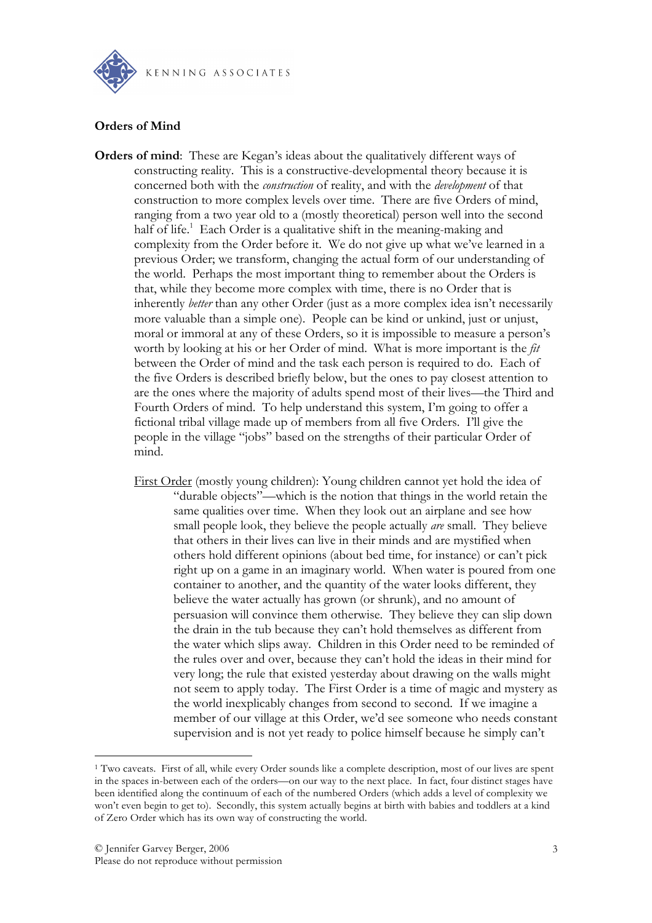

## **Orders of Mind**

- **Orders of mind**: These are Kegan's ideas about the qualitatively different ways of constructing reality. This is a constructive-developmental theory because it is concerned both with the *construction* of reality, and with the *development* of that construction to more complex levels over time. There are five Orders of mind, ranging from a two year old to a (mostly theoretical) person well into the second half of life.<sup>1</sup> Each Order is a qualitative shift in the meaning-making and complexity from the Order before it. We do not give up what we've learned in a previous Order; we transform, changing the actual form of our understanding of the world. Perhaps the most important thing to remember about the Orders is that, while they become more complex with time, there is no Order that is inherently *better* than any other Order (just as a more complex idea isn't necessarily more valuable than a simple one). People can be kind or unkind, just or unjust, moral or immoral at any of these Orders, so it is impossible to measure a person's worth by looking at his or her Order of mind. What is more important is the *fit* between the Order of mind and the task each person is required to do. Each of the five Orders is described briefly below, but the ones to pay closest attention to are the ones where the majority of adults spend most of their lives—the Third and Fourth Orders of mind. To help understand this system, I'm going to offer a fictional tribal village made up of members from all five Orders. I'll give the people in the village "jobs" based on the strengths of their particular Order of mind.
	- First Order (mostly young children): Young children cannot yet hold the idea of "durable objects"—which is the notion that things in the world retain the same qualities over time. When they look out an airplane and see how small people look, they believe the people actually *are* small. They believe that others in their lives can live in their minds and are mystified when others hold different opinions (about bed time, for instance) or can't pick right up on a game in an imaginary world. When water is poured from one container to another, and the quantity of the water looks different, they believe the water actually has grown (or shrunk), and no amount of persuasion will convince them otherwise. They believe they can slip down the drain in the tub because they can't hold themselves as different from the water which slips away. Children in this Order need to be reminded of the rules over and over, because they can't hold the ideas in their mind for very long; the rule that existed yesterday about drawing on the walls might not seem to apply today. The First Order is a time of magic and mystery as the world inexplicably changes from second to second. If we imagine a member of our village at this Order, we'd see someone who needs constant supervision and is not yet ready to police himself because he simply can't

 $\overline{a}$ 

<sup>1</sup> Two caveats. First of all, while every Order sounds like a complete description, most of our lives are spent in the spaces in-between each of the orders—on our way to the next place. In fact, four distinct stages have been identified along the continuum of each of the numbered Orders (which adds a level of complexity we won't even begin to get to). Secondly, this system actually begins at birth with babies and toddlers at a kind of Zero Order which has its own way of constructing the world.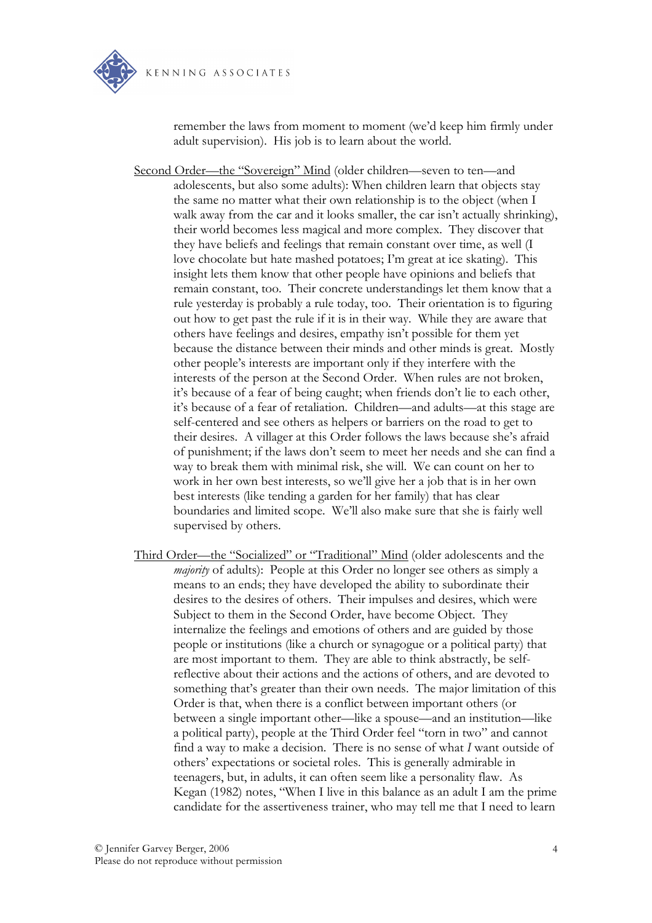

remember the laws from moment to moment (we'd keep him firmly under adult supervision). His job is to learn about the world.

Second Order—the "Sovereign" Mind (older children—seven to ten—and adolescents, but also some adults): When children learn that objects stay the same no matter what their own relationship is to the object (when I walk away from the car and it looks smaller, the car isn't actually shrinking), their world becomes less magical and more complex. They discover that they have beliefs and feelings that remain constant over time, as well (I love chocolate but hate mashed potatoes; I'm great at ice skating). This insight lets them know that other people have opinions and beliefs that remain constant, too. Their concrete understandings let them know that a rule yesterday is probably a rule today, too. Their orientation is to figuring out how to get past the rule if it is in their way. While they are aware that others have feelings and desires, empathy isn't possible for them yet because the distance between their minds and other minds is great. Mostly other people's interests are important only if they interfere with the interests of the person at the Second Order. When rules are not broken, it's because of a fear of being caught; when friends don't lie to each other, it's because of a fear of retaliation. Children—and adults—at this stage are self-centered and see others as helpers or barriers on the road to get to their desires. A villager at this Order follows the laws because she's afraid of punishment; if the laws don't seem to meet her needs and she can find a way to break them with minimal risk, she will. We can count on her to work in her own best interests, so we'll give her a job that is in her own best interests (like tending a garden for her family) that has clear boundaries and limited scope. We'll also make sure that she is fairly well supervised by others.

Third Order—the "Socialized" or "Traditional" Mind (older adolescents and the *majority* of adults): People at this Order no longer see others as simply a means to an ends; they have developed the ability to subordinate their desires to the desires of others. Their impulses and desires, which were Subject to them in the Second Order, have become Object. They internalize the feelings and emotions of others and are guided by those people or institutions (like a church or synagogue or a political party) that are most important to them. They are able to think abstractly, be selfreflective about their actions and the actions of others, and are devoted to something that's greater than their own needs. The major limitation of this Order is that, when there is a conflict between important others (or between a single important other—like a spouse—and an institution—like a political party), people at the Third Order feel "torn in two" and cannot find a way to make a decision. There is no sense of what *I* want outside of others' expectations or societal roles. This is generally admirable in teenagers, but, in adults, it can often seem like a personality flaw. As Kegan (1982) notes, "When I live in this balance as an adult I am the prime candidate for the assertiveness trainer, who may tell me that I need to learn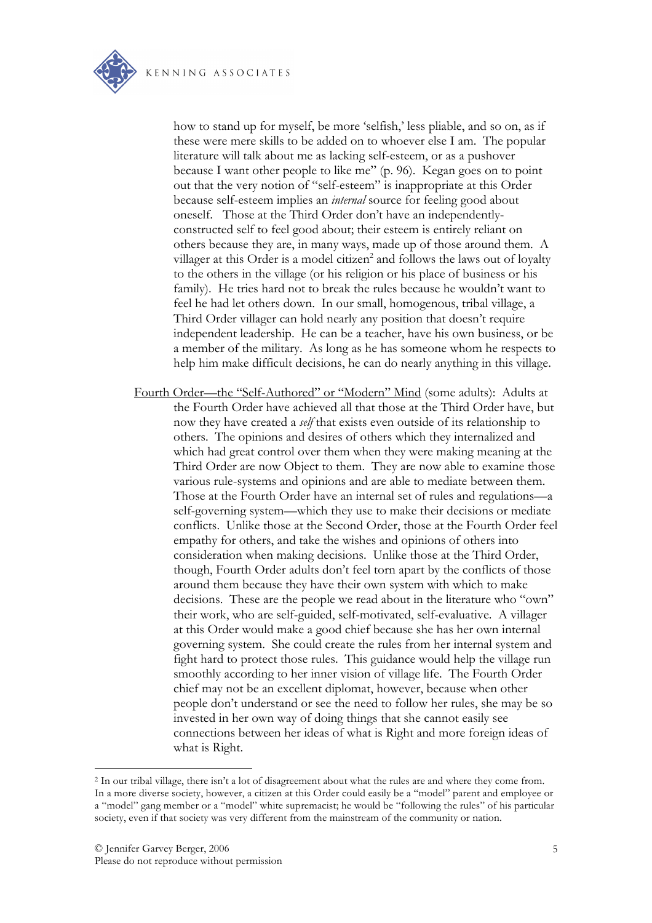KENNING ASSOCIATES



how to stand up for myself, be more 'selfish,' less pliable, and so on, as if these were mere skills to be added on to whoever else I am. The popular literature will talk about me as lacking self-esteem, or as a pushover because I want other people to like me" (p. 96). Kegan goes on to point out that the very notion of "self-esteem" is inappropriate at this Order because self-esteem implies an *internal* source for feeling good about oneself. Those at the Third Order don't have an independentlyconstructed self to feel good about; their esteem is entirely reliant on others because they are, in many ways, made up of those around them. A villager at this Order is a model citizen<sup>2</sup> and follows the laws out of loyalty to the others in the village (or his religion or his place of business or his family). He tries hard not to break the rules because he wouldn't want to feel he had let others down. In our small, homogenous, tribal village, a Third Order villager can hold nearly any position that doesn't require independent leadership. He can be a teacher, have his own business, or be a member of the military. As long as he has someone whom he respects to help him make difficult decisions, he can do nearly anything in this village.

Fourth Order—the "Self-Authored" or "Modern" Mind (some adults): Adults at the Fourth Order have achieved all that those at the Third Order have, but now they have created a *self* that exists even outside of its relationship to others. The opinions and desires of others which they internalized and which had great control over them when they were making meaning at the Third Order are now Object to them. They are now able to examine those various rule-systems and opinions and are able to mediate between them. Those at the Fourth Order have an internal set of rules and regulations—a self-governing system—which they use to make their decisions or mediate conflicts. Unlike those at the Second Order, those at the Fourth Order feel empathy for others, and take the wishes and opinions of others into consideration when making decisions. Unlike those at the Third Order, though, Fourth Order adults don't feel torn apart by the conflicts of those around them because they have their own system with which to make decisions. These are the people we read about in the literature who "own" their work, who are self-guided, self-motivated, self-evaluative. A villager at this Order would make a good chief because she has her own internal governing system. She could create the rules from her internal system and fight hard to protect those rules. This guidance would help the village run smoothly according to her inner vision of village life. The Fourth Order chief may not be an excellent diplomat, however, because when other people don't understand or see the need to follow her rules, she may be so invested in her own way of doing things that she cannot easily see connections between her ideas of what is Right and more foreign ideas of what is Right.

 $\overline{a}$ 

<sup>2</sup> In our tribal village, there isn't a lot of disagreement about what the rules are and where they come from. In a more diverse society, however, a citizen at this Order could easily be a "model" parent and employee or a "model" gang member or a "model" white supremacist; he would be "following the rules" of his particular society, even if that society was very different from the mainstream of the community or nation.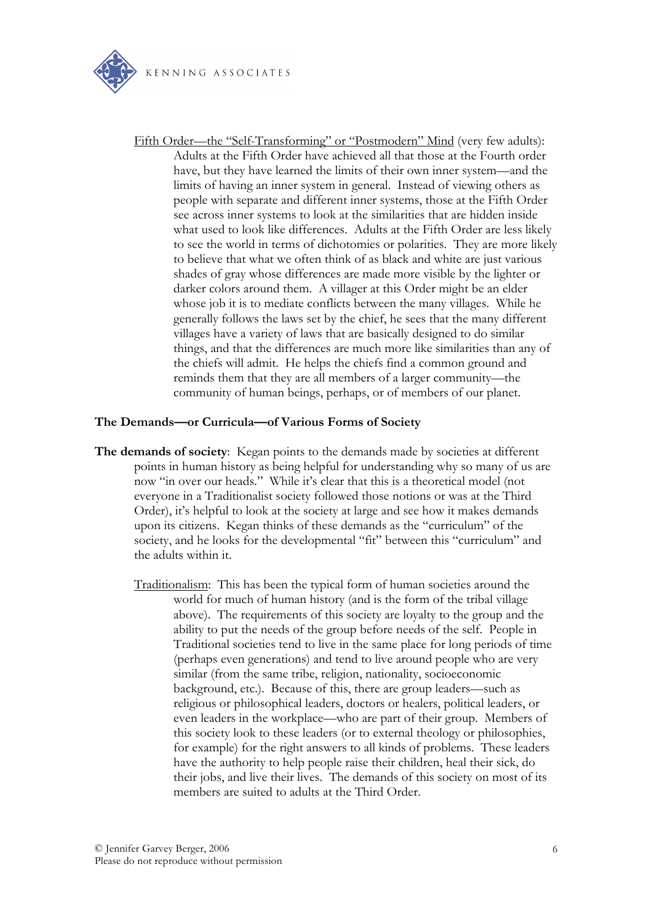

Fifth Order—the "Self-Transforming" or "Postmodern" Mind (very few adults): Adults at the Fifth Order have achieved all that those at the Fourth order have, but they have learned the limits of their own inner system—and the limits of having an inner system in general. Instead of viewing others as people with separate and different inner systems, those at the Fifth Order see across inner systems to look at the similarities that are hidden inside what used to look like differences. Adults at the Fifth Order are less likely to see the world in terms of dichotomies or polarities. They are more likely to believe that what we often think of as black and white are just various shades of gray whose differences are made more visible by the lighter or darker colors around them. A villager at this Order might be an elder whose job it is to mediate conflicts between the many villages. While he generally follows the laws set by the chief, he sees that the many different villages have a variety of laws that are basically designed to do similar things, and that the differences are much more like similarities than any of the chiefs will admit. He helps the chiefs find a common ground and reminds them that they are all members of a larger community—the community of human beings, perhaps, or of members of our planet.

## **The Demands—or Curricula—of Various Forms of Society**

- **The demands of society**: Kegan points to the demands made by societies at different points in human history as being helpful for understanding why so many of us are now "in over our heads." While it's clear that this is a theoretical model (not everyone in a Traditionalist society followed those notions or was at the Third Order), it's helpful to look at the society at large and see how it makes demands upon its citizens. Kegan thinks of these demands as the "curriculum" of the society, and he looks for the developmental "fit" between this "curriculum" and the adults within it.
	- Traditionalism: This has been the typical form of human societies around the world for much of human history (and is the form of the tribal village above). The requirements of this society are loyalty to the group and the ability to put the needs of the group before needs of the self. People in Traditional societies tend to live in the same place for long periods of time (perhaps even generations) and tend to live around people who are very similar (from the same tribe, religion, nationality, socioeconomic background, etc.). Because of this, there are group leaders—such as religious or philosophical leaders, doctors or healers, political leaders, or even leaders in the workplace—who are part of their group. Members of this society look to these leaders (or to external theology or philosophies, for example) for the right answers to all kinds of problems. These leaders have the authority to help people raise their children, heal their sick, do their jobs, and live their lives. The demands of this society on most of its members are suited to adults at the Third Order.